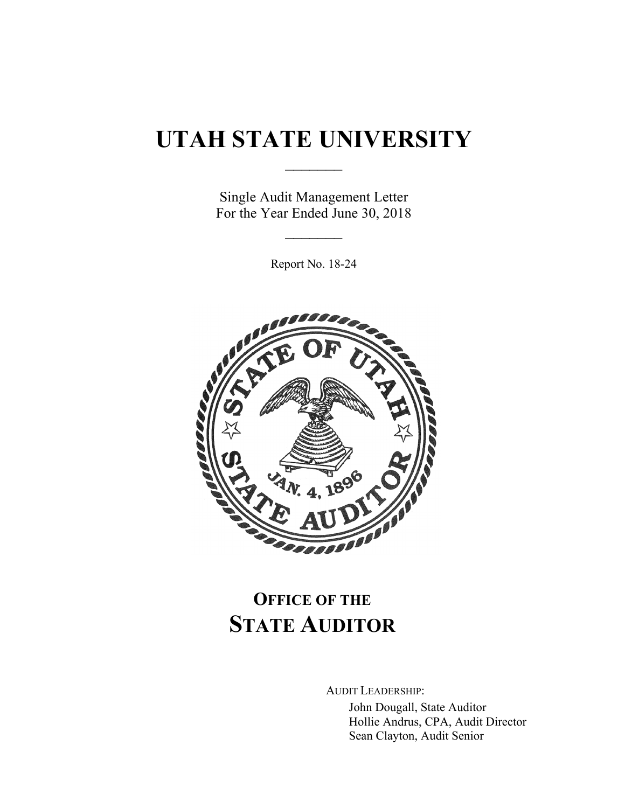# **UTAH STATE UNIVERSITY**

 $\frac{1}{2}$ 

Single Audit Management Letter For the Year Ended June 30, 2018

 $\frac{1}{2}$ 

Report No. 18-24



# **OFFICE OF THE STATE AUDITOR**

AUDIT LEADERSHIP:

John Dougall, State Auditor Hollie Andrus, CPA, Audit Director Sean Clayton, Audit Senior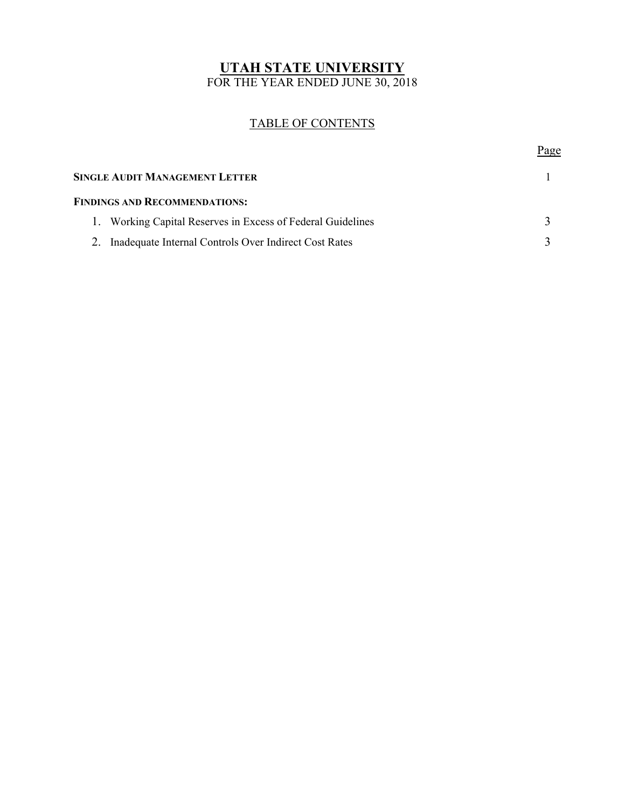### **UTAH STATE UNIVERSITY**  FOR THE YEAR ENDED JUNE 30, 2018

# TABLE OF CONTENTS

Page **Page** 

|                                      | <b>SINGLE AUDIT MANAGEMENT LETTER</b>                       |  |
|--------------------------------------|-------------------------------------------------------------|--|
| <b>FINDINGS AND RECOMMENDATIONS:</b> |                                                             |  |
|                                      | 1. Working Capital Reserves in Excess of Federal Guidelines |  |
|                                      | 2. Inadequate Internal Controls Over Indirect Cost Rates    |  |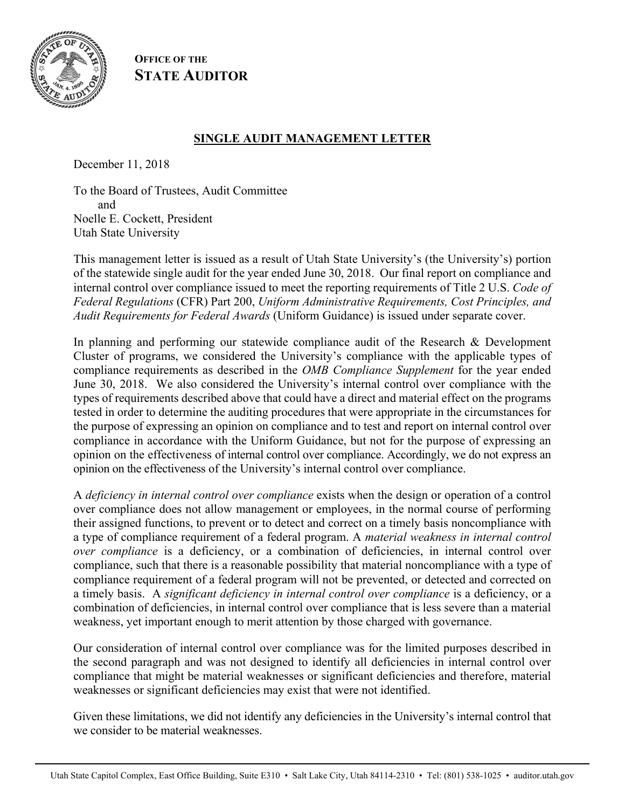

**OFFICE OF THE STATE AUDITOR**

# **SINGLE AUDIT MANAGEMENT LETTER**

December 11, 2018

To the Board of Trustees, Audit Committee and Noelle E. Cockett, President Utah State University

This management letter is issued as a result of Utah State University's (the University's) portion of the statewide single audit for the year ended June 30, 2018. Our final report on compliance and internal control over compliance issued to meet the reporting requirements of Title 2 U.S. *Code of Federal Regulations* (CFR) Part 200, *Uniform Administrative Requirements, Cost Principles, and Audit Requirements for Federal Awards* (Uniform Guidance) is issued under separate cover.

In planning and performing our statewide compliance audit of the Research & Development Cluster of programs, we considered the University's compliance with the applicable types of compliance requirements as described in the *OMB Compliance Supplement* for the year ended June 30, 2018. We also considered the University's internal control over compliance with the types of requirements described above that could have a direct and material effect on the programs tested in order to determine the auditing procedures that were appropriate in the circumstances for the purpose of expressing an opinion on compliance and to test and report on internal control over compliance in accordance with the Uniform Guidance, but not for the purpose of expressing an opinion on the effectiveness of internal control over compliance. Accordingly, we do not express an opinion on the effectiveness of the University's internal control over compliance.

A *deficiency in internal control over compliance* exists when the design or operation of a control over compliance does not allow management or employees, in the normal course of performing their assigned functions, to prevent or to detect and correct on a timely basis noncompliance with a type of compliance requirement of a federal program. A *material weakness in internal control over compliance* is a deficiency, or a combination of deficiencies, in internal control over compliance, such that there is a reasonable possibility that material noncompliance with a type of compliance requirement of a federal program will not be prevented, or detected and corrected on a timely basis. A *significant deficiency in internal control over compliance* is a deficiency, or a combination of deficiencies, in internal control over compliance that is less severe than a material weakness, yet important enough to merit attention by those charged with governance.

Our consideration of internal control over compliance was for the limited purposes described in the second paragraph and was not designed to identify all deficiencies in internal control over compliance that might be material weaknesses or significant deficiencies and therefore, material weaknesses or significant deficiencies may exist that were not identified.

Given these limitations, we did not identify any deficiencies in the University's internal control that we consider to be material weaknesses.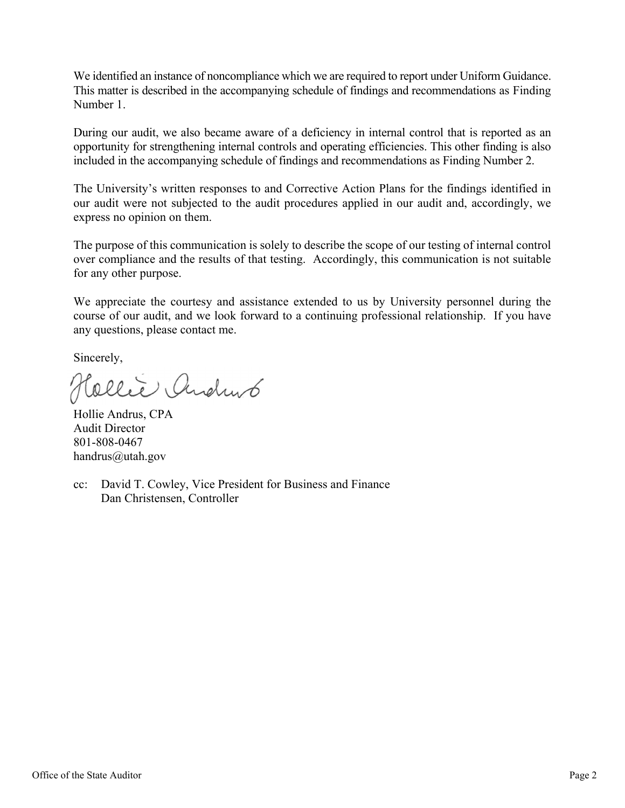We identified an instance of noncompliance which we are required to report under Uniform Guidance. This matter is described in the accompanying schedule of findings and recommendations as Finding Number 1.

During our audit, we also became aware of a deficiency in internal control that is reported as an opportunity for strengthening internal controls and operating efficiencies. This other finding is also included in the accompanying schedule of findings and recommendations as Finding Number 2.

The University's written responses to and Corrective Action Plans for the findings identified in our audit were not subjected to the audit procedures applied in our audit and, accordingly, we express no opinion on them.

The purpose of this communication is solely to describe the scope of our testing of internal control over compliance and the results of that testing. Accordingly, this communication is not suitable for any other purpose.

We appreciate the courtesy and assistance extended to us by University personnel during the course of our audit, and we look forward to a continuing professional relationship. If you have any questions, please contact me.

Sincerely,

Collece Andrews

Hollie Andrus, CPA Audit Director 801-808-0467 handrus@utah.gov

cc: David T. Cowley, Vice President for Business and Finance Dan Christensen, Controller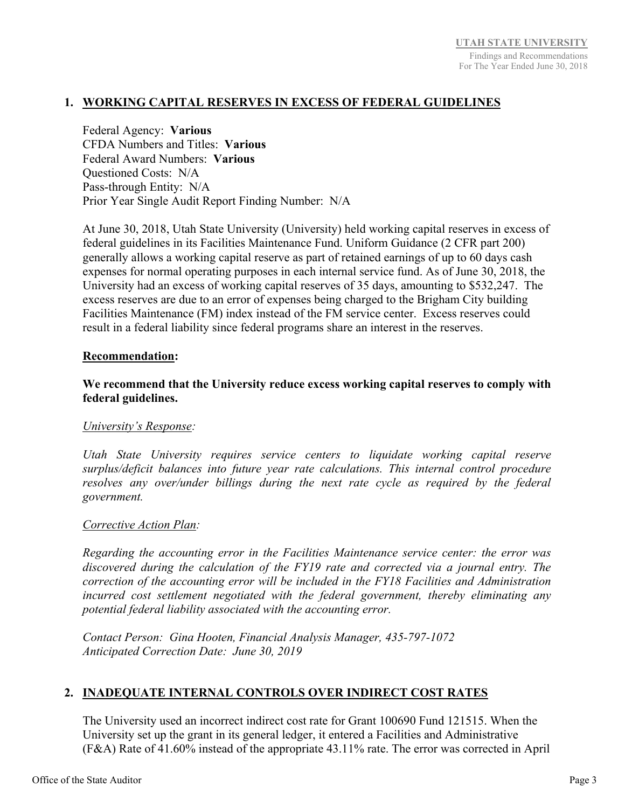#### **1. WORKING CAPITAL RESERVES IN EXCESS OF FEDERAL GUIDELINES**

Federal Agency: **Various**  CFDA Numbers and Titles: **Various**  Federal Award Numbers: **Various** Questioned Costs: N/A Pass-through Entity: N/A Prior Year Single Audit Report Finding Number: N/A

At June 30, 2018, Utah State University (University) held working capital reserves in excess of federal guidelines in its Facilities Maintenance Fund. Uniform Guidance (2 CFR part 200) generally allows a working capital reserve as part of retained earnings of up to 60 days cash expenses for normal operating purposes in each internal service fund. As of June 30, 2018, the University had an excess of working capital reserves of 35 days, amounting to \$532,247. The excess reserves are due to an error of expenses being charged to the Brigham City building Facilities Maintenance (FM) index instead of the FM service center. Excess reserves could result in a federal liability since federal programs share an interest in the reserves.

#### **Recommendation:**

#### **We recommend that the University reduce excess working capital reserves to comply with federal guidelines.**

#### *University's Response:*

*Utah State University requires service centers to liquidate working capital reserve surplus/deficit balances into future year rate calculations. This internal control procedure resolves any over/under billings during the next rate cycle as required by the federal government.* 

#### *Corrective Action Plan:*

*Regarding the accounting error in the Facilities Maintenance service center: the error was discovered during the calculation of the FY19 rate and corrected via a journal entry. The correction of the accounting error will be included in the FY18 Facilities and Administration incurred cost settlement negotiated with the federal government, thereby eliminating any potential federal liability associated with the accounting error.* 

*Contact Person: Gina Hooten, Financial Analysis Manager, 435-797-1072 Anticipated Correction Date: June 30, 2019* 

### **2. INADEQUATE INTERNAL CONTROLS OVER INDIRECT COST RATES**

The University used an incorrect indirect cost rate for Grant 100690 Fund 121515. When the University set up the grant in its general ledger, it entered a Facilities and Administrative (F&A) Rate of 41.60% instead of the appropriate 43.11% rate. The error was corrected in April